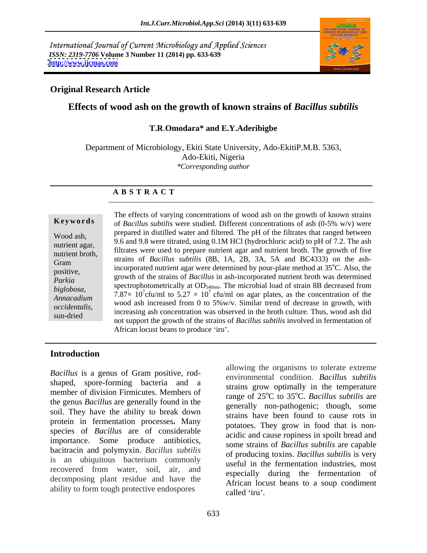International Journal of Current Microbiology and Applied Sciences *ISSN: 2319-7706* **Volume 3 Number 11 (2014) pp. 633-639 <http://www.ijcmas.com>**



## **Original Research Article**

# **Effects of wood ash on the growth of known strains of** *Bacillus subtilis*

# **T.R**.**Omodara\* and E.Y.Aderibigbe**

Department of Microbiology, Ekiti State University, Ado-EkitiP.M.B. 5363, Ado-Ekiti, Nigeria *\*Corresponding author*

### **A B S T R A C T**

**Keywords** of *Bacillus subtilis* were studied. Different concentrations of ash (0-5% w/v) were Wood ash,<br>
9.6 and 9.8 were titrated, using 0.1M HCl (hydrochloric acid) to pH of 7.2. The ash nutrient agar,<br>
filtrates were used to prepare nutrient agar and nutrient broth. The growth of five<br>
nutrient broth states were used to prepare nutrient agar and nutrient broth. The growth of five nutrient broth,<br>
strains of *Bacillus subtilis* (8B, 1A, 2B, 3A, 5A and BC4333) on the ash-Gram studing of *Buctius subtits* (6B, 1A, 2B, 3A, 3A and BC4333) on the ash-<br>incorporated nutrient agar were determined by pour-plate method at 35<sup>o</sup>C. Also, the positive,<br>
growth of the strains of *Bacillus* in ash-incorporated nutrient broth was determined<br>
parkia *Parkia* and *growth* of the strains of *Ductius* in ash-incorporated nument broth was determined *biglobosa*, spectrophotometrically at  $OD_{540nm}$ . The microbial load of strain 8B decreased from<br>*biglobosa*,  $7.87 \times 10^{7}$  fo(w) to 5.27  $\times 10^{7}$  fo(w) as specialty as the presentation of the *Annacadium* 1.67×10 CIU/III to 3.27 × 10 CIU/III on agai plates, as the concentration of the wood ash increased from 0 to 5%w/v. Similar trend of decrease in growth, with *occidentalis*,<br>
sun-dried increasing ash concentration was observed in the broth culture. Thus, wood ash did<br>
sur-dried and groups of the specific of the station of  $P_1$ , it is a left increased in form out time of The effects of varying concentrations of wood ash on the growth of known strains prepared in distilled water and filtered. The pH of the filtrates that ranged between 7.87 $\times$  10<sup>7</sup> cfu/ml to 5.27  $\times$  10<sup>7</sup> cfu/ml on agar plates, as the concentration of the not support the growth of the strains of *Bacillus subtilis* involved in fermentation of African locust beans to produce 'iru'.

### **Introduction**

*Bacillus* is a genus of Gram positive, rod shaped, spore-forming bacteria and a member of division Firmicutes. Members of the genus *Bacillus* are generally found in the soil. They have the ability to break down protein in fermentation processes**.** Many species of *Bacillus* are of considerable importance. Some produce antibiotics, bacitracin and polymyxin. *Bacillus subtilis* is an ubiquitous bacterium commonly recovered from water, soil, air, and decomposing plant residue and have the ability to form tough protective endospores called 'iru'.

allowing the organisms to tolerate extreme environmental condition.*Bacillus subtilis* strains grow optimally in the temperature range of 25<sup>o</sup>C to 35<sup>o</sup>C. *Bacillus subtilis* are generally non-pathogenic; though, some strains have been found to cause rots in potatoes. They grow in food that is non acidic and cause ropiness in spoilt bread and some strains of *Bacillus subtilis* are capable of producing toxins. *Bacillus subtilis* is very useful in the fermentation industries, most especially during the fermentation of African locust beans to a soup condiment called 'iru'.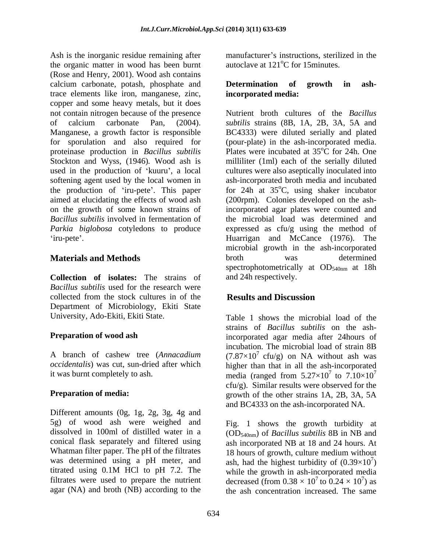Ash is the inorganic residue remaining after the organic matter in wood has been burnt (Rose and Henry, 2001). Wood ash contains calcium carbonate, potash, phosphate and **Determination of growth in ash**trace elements like iron, manganese, zinc, copper and some heavy metals, but it does not contain nitrogen because of the presence **Nutrient** broth cultures of the *Bacillus* of calcium carbonate Pan, (2004). *subtilis* strains (8B, 1A, 2B, 3A, 5A and Manganese, a growth factor is responsible BC4333) were diluted serially and plated for sporulation and also required for proteinase production in *Bacillus subtilis* Stockton and Wyss, (1946)*.* Wood ash is milliliter (1ml) each of the serially diluted used in the production of 'kuuru', a local cultures were also aseptically inoculated into softening agent used by the local women in ash-incorporated broth media and incubated the production of 'iru-pete'. This paper aimed at elucidating the effects of wood ash (200rpm). Colonies developed on the ashon the growth of some known strains of incorporated agar plates were counted and Bacillus *subtilis* involved in fermentation of the microbial load was determined and *Parkia biglobosa* cotyledons to produce expressed as cfu/g using the method of

**Collection of isolates:** The strains of *Bacillus subtilis* used for the research were collected from the stock cultures in of the **Results and Discussion** Department of Microbiology, Ekiti State

Different amounts (0g, 1g, 2g, 3g, 4g and 5g) of wood ash were weighed and Fig. 1 shows the growth turbidity at dissolved in 100ml of distilled water in a (OD<sub>540nm</sub>) of *Bacillus subtilis* 8B in NB and conical flask separately and filtered using ash incorporated NB at 18 and 24 hours. At Whatman filter paper. The pH of the filtrates was determined using a pH meter, and titrated using 0.1M HCl to pH 7.2. The while the growth in ash-incorporated media filtrates were used to prepare the nutrient decreased (from  $0.38 \times 10^7$  to  $0.24 \times 10^7$ ) as agar (NA) and broth (NB) according to the

manufacturer's instructions, sterilized in the autoclave at  $121^{\circ}$ C for 15 minutes.

### **Determination of growth in ashincorporated media:**

iru-pete . Huarrigan and McCance (1976). The **Materials and Methods broth** was determined *subtilis* strains (8B, 1A, 2B, 3A, 5A and BC4333) were diluted serially and plated (pour-plate) in the ash-incorporated media. Plates were incubated at 35<sup>o</sup>C for 24h. One  $\rm ^{o}\rm \tilde{C}$  for 24h. One for 24h at  $35^{\circ}$ C, using shaker incubator microbial growth in the ash-incorporated broth was determined spectrophotometrically at  $OD_{540nm}$  at 18h and 24h respectively.

# **Results and Discussion**

University, Ado-Ekiti, Ekiti State. Table 1 shows the microbial load of the **Preparation of wood ash** incorporated agar media after 24hours of A branch of cashew tree (*Annacadium*  $(7.87 \times 10^7 \text{ cfu/g})$  on NA without ash was *occidentalis*) was cut, sun-dried after which higher than that in all the ash-incorporated it was burnt completely to ash. media (ranged from  $5.27 \times 10^7$  to  $7.10 \times 10^7$ **Preparation of media:** growth of the other strains 1A, 2B, 3A, 5A strains of *Bacillus subtilis* on the ashincubation. The microbial load of strain 8B  $^7$  to  $7.10\times10^7$ 7  $cfu/g$ ). Similar results were observed for the and BC4333 on the ash-incorporated NA.

> 18 hours of growth, culture medium without ash, had the highest turbidity of  $(0.39\times10^{7})$  $7<sub>1</sub>$  $)$ <sup>7</sup> to  $0.24 \times 10^7$ ) as  $\frac{7}{2}$  as ) as the ash concentration increased. The same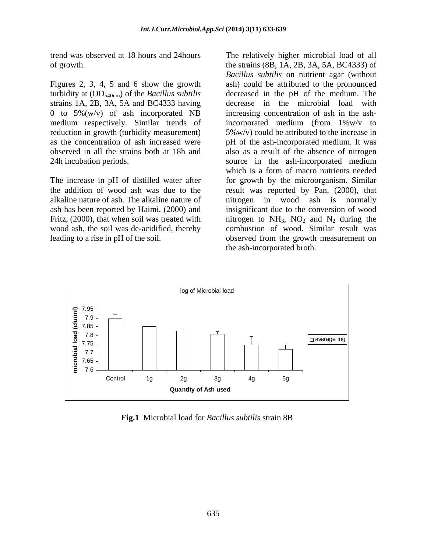Figures 2, 3, 4, 5 and 6 show the growth turbidity at (OD540nm) of the *Bacillus subtilis* strains 1A, 2B, 3A, 5A and BC4333 having reduction in growth (turbidity measurement)

The increase in pH of distilled water after alkaline nature of ash. The alkaline nature of

trend was observed at 18 hours and 24hours The relatively higher microbial load of all of growth. the strains (8B, 1A, 2B, 3A, 5A, BC4333) of 0 to 5%(w/v) of ash incorporated NB increasing concentration of ash in the ashmedium respectively. Similar trends of incorporated medium (from 1%w/v to as the concentration of ash increased were pH of the ash-incorporated medium. It was observed in all the strains both at 18h and also as a result of the absence of nitrogen 24h incubation periods. source in the ash-incorporated medium the addition of wood ash was due to the result was reported by Pan, (2000), that ash has been reported by Haimi, (2000) and insignificant due to the conversion of wood Fritz, (2000), that when soil was treated with introgen to  $NH_3$ ,  $NO_2$  and  $N_2$  during the wood ash, the soil was de-acidified, thereby combustion of wood. Similar result was leading to a rise in pH of the soil. observed from the growth measurement on *Bacillus subtilis* on nutrient agar (without ash) could be attributed to the pronounced decreased in the pH of the medium. The decrease in the microbial load with 5%w/v) could be attributed to the increase in which is a form of macro nutrients needed for growth by the microorganism. Similar in wood ash is normally the ash-incorporated broth.



**Fig.1** Microbial load for *Bacillus subtilis* strain 8B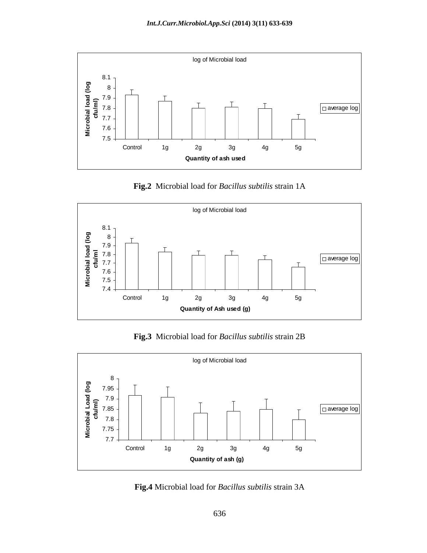

**Fig.2** Microbial load for *Bacillus subtilis* strain 1A



**Fig.3** Microbial load for *Bacillus subtilis* strain 2B



**Fig.4** Microbial load for *Bacillus subtilis* strain 3A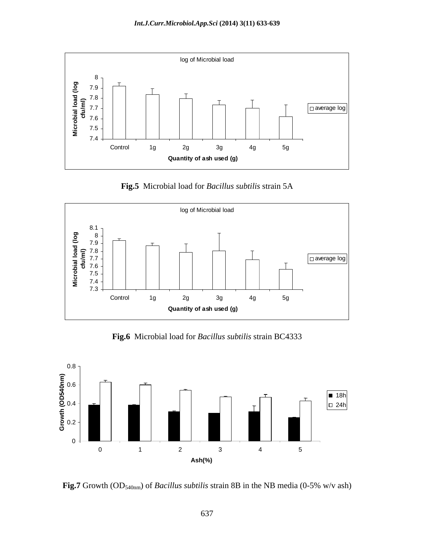

**Fig.5** Microbial load for *Bacillus subtilis* strain 5A



**Fig.6** Microbial load for *Bacillus subtilis* strain BC4333



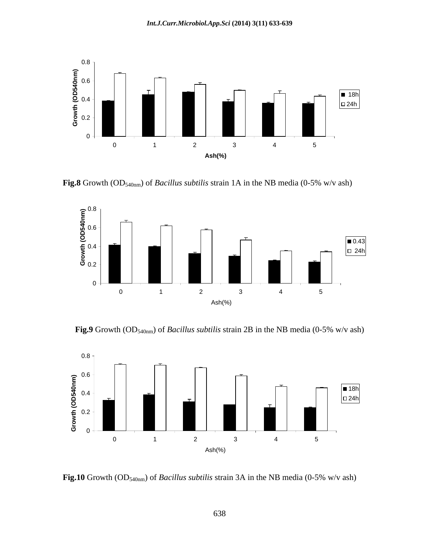

**Fig.8** Growth (OD540nm) of *Bacillus subtilis* strain 1A in the NB media (0-5% w/v ash)



**Fig.9** Growth (OD<sub>540nm</sub>) of *Bacillus subtilis* strain 2B in the NB media (0-5% w/v ash)



**Fig.10** Growth (OD540nm) of *Bacillus subtilis* strain 3A in the NB media (0-5% w/v ash)